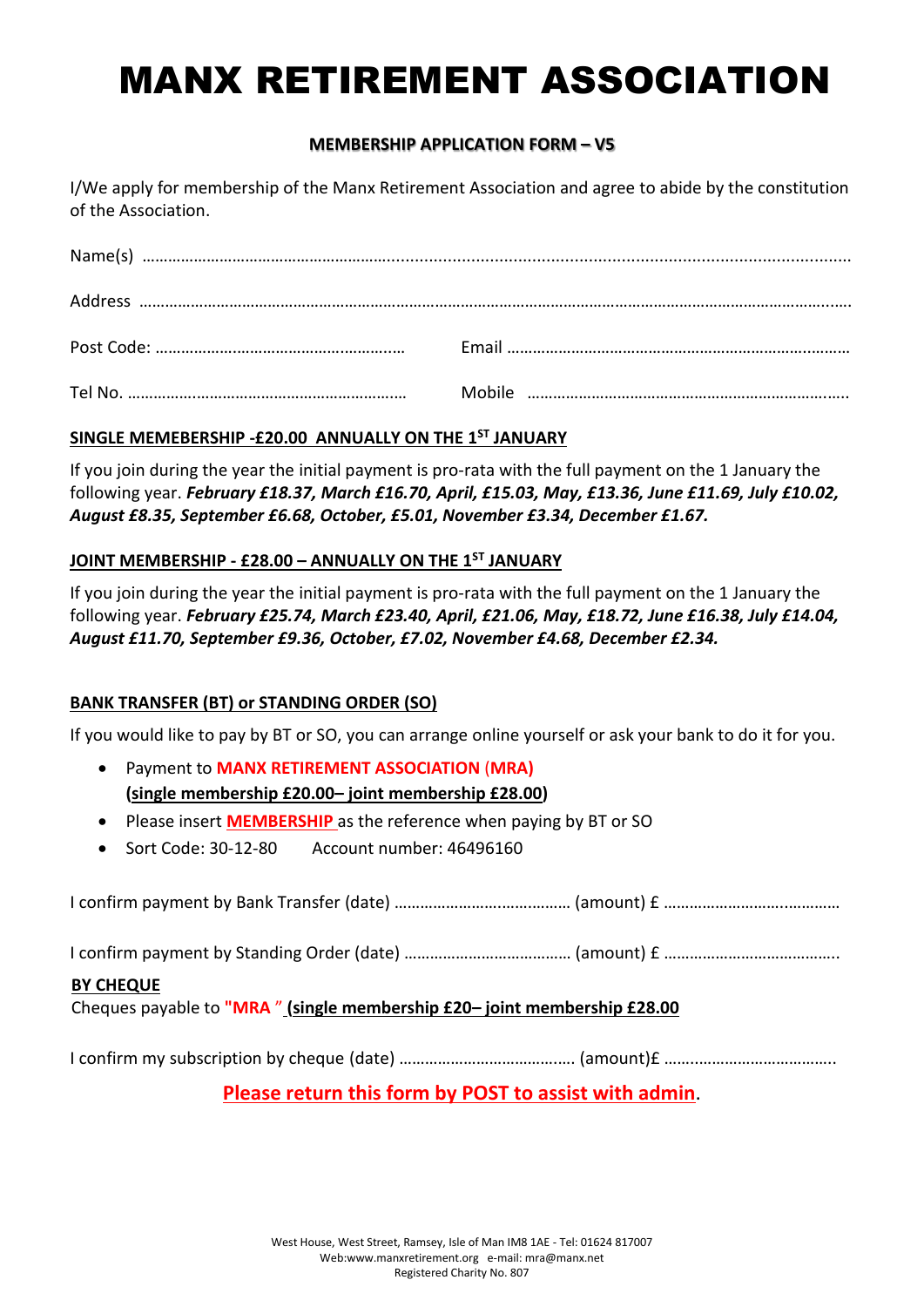# MANX RETIREMENT ASSOCIATION

# **MEMBERSHIP APPLICATION FORM – V5**

I/We apply for membership of the Manx Retirement Association and agree to abide by the constitution of the Association.

# **SINGLE MEMEBERSHIP -£20.00 ANNUALLY ON THE 1ST JANUARY**

If you join during the year the initial payment is pro-rata with the full payment on the 1 January the following year. *February £18.37, March £16.70, April, £15.03, May, £13.36, June £11.69, July £10.02, August £8.35, September £6.68, October, £5.01, November £3.34, December £1.67.*

## **JOINT MEMBERSHIP - £28.00 – ANNUALLY ON THE 1ST JANUARY**

If you join during the year the initial payment is pro-rata with the full payment on the 1 January the following year. *February £25.74, March £23.40, April, £21.06, May, £18.72, June £16.38, July £14.04, August £11.70, September £9.36, October, £7.02, November £4.68, December £2.34.*

# **BANK TRANSFER (BT) or STANDING ORDER (SO)**

If you would like to pay by BT or SO, you can arrange online yourself or ask your bank to do it for you.

- Payment to **MANX RETIREMENT ASSOCIATION** (**MRA) (single membership £20.00– joint membership £28.00)**
- Please insert **MEMBERSHIP** as the reference when paying by BT or SO
- Sort Code: 30-12-80 Account number: 46496160

|--|--|--|

I confirm payment by Standing Order (date) …………………………………… (amount) £ ……………………………………

## **BY CHEQUE**

Cheques payable to **"MRA** " **(single membership £20– joint membership £28.00**

I confirm my subscription by cheque (date) ……………………………….…. (amount)£ ……..…………………………..

**Please return this form by POST to assist with admin**.